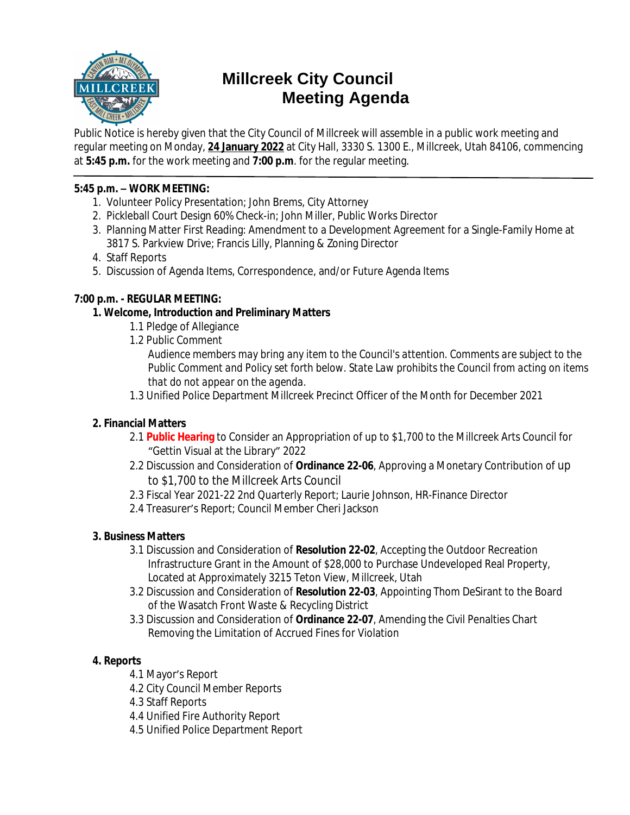

# **Millcreek City Council Meeting Agenda**

Public Notice is hereby given that the City Council of Millcreek will assemble in a public work meeting and regular meeting on Monday, **24 January 2022** at City Hall, 3330 S. 1300 E., Millcreek, Utah 84106, commencing at **5:45 p.m.** for the work meeting and **7:00 p.m**. for the regular meeting.

## **5:45 p.m. – WORK MEETING:**

- 1. Volunteer Policy Presentation; John Brems, City Attorney
- 2. Pickleball Court Design 60% Check-in; John Miller, Public Works Director
- 3. Planning Matter First Reading: Amendment to a Development Agreement for a Single-Family Home at 3817 S. Parkview Drive; Francis Lilly, Planning & Zoning Director
- 4. Staff Reports
- 5. Discussion of Agenda Items, Correspondence, and/or Future Agenda Items

# **7:00 p.m. - REGULAR MEETING:**

# **1. Welcome, Introduction and Preliminary Matters**

- 1.1 Pledge of Allegiance
- 1.2 Public Comment

*Audience members may bring any item to the Council's attention. Comments are subject to the Public Comment and Policy set forth below. State Law prohibits the Council from acting on items that do not appear on the agenda.*

1.3 Unified Police Department Millcreek Precinct Officer of the Month for December 2021

# **2. Financial Matters**

- 2.1 **Public Hearing** to Consider an Appropriation of up to \$1,700 to the Millcreek Arts Council for "Gettin Visual at the Library" 2022
- 2.2 Discussion and Consideration of **Ordinance 22-06**, Approving a Monetary Contribution of up to \$1,700 to the Millcreek Arts Council
- 2.3 Fiscal Year 2021-22 2nd Quarterly Report; Laurie Johnson, HR-Finance Director
- 2.4 Treasurer's Report; Council Member Cheri Jackson

## **3. Business Matters**

- 3.1 Discussion and Consideration of **Resolution 22-02**, Accepting the Outdoor Recreation Infrastructure Grant in the Amount of \$28,000 to Purchase Undeveloped Real Property, Located at Approximately 3215 Teton View, Millcreek, Utah
- 3.2 Discussion and Consideration of **Resolution 22-03**, Appointing Thom DeSirant to the Board of the Wasatch Front Waste & Recycling District
- 3.3 Discussion and Consideration of **Ordinance 22-07**, Amending the Civil Penalties Chart Removing the Limitation of Accrued Fines for Violation

# **4. Reports**

- 4.1 Mayor's Report
- 4.2 City Council Member Reports
- 4.3 Staff Reports
- 4.4 Unified Fire Authority Report
- 4.5 Unified Police Department Report